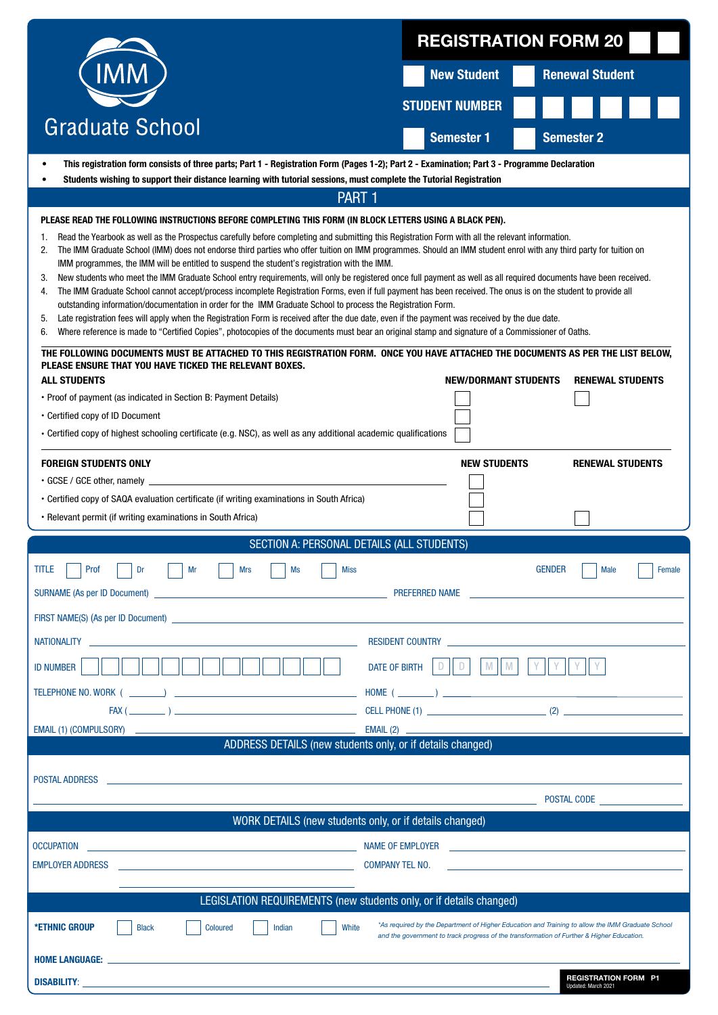|                                                                                                                                                                                                                                                                                                                                                                                                                                                                                                                                                                                                                                                                                                                                                                                                                                                                                                                                                                                                                                                                                                                                                                                                                                                                                                                                                      | <b>REGISTRATION FORM 20</b> |                             |                                                                                                                                                                                               |  |  |  |  |  |  |
|------------------------------------------------------------------------------------------------------------------------------------------------------------------------------------------------------------------------------------------------------------------------------------------------------------------------------------------------------------------------------------------------------------------------------------------------------------------------------------------------------------------------------------------------------------------------------------------------------------------------------------------------------------------------------------------------------------------------------------------------------------------------------------------------------------------------------------------------------------------------------------------------------------------------------------------------------------------------------------------------------------------------------------------------------------------------------------------------------------------------------------------------------------------------------------------------------------------------------------------------------------------------------------------------------------------------------------------------------|-----------------------------|-----------------------------|-----------------------------------------------------------------------------------------------------------------------------------------------------------------------------------------------|--|--|--|--|--|--|
|                                                                                                                                                                                                                                                                                                                                                                                                                                                                                                                                                                                                                                                                                                                                                                                                                                                                                                                                                                                                                                                                                                                                                                                                                                                                                                                                                      | <b>New Student</b>          |                             | <b>Renewal Student</b>                                                                                                                                                                        |  |  |  |  |  |  |
|                                                                                                                                                                                                                                                                                                                                                                                                                                                                                                                                                                                                                                                                                                                                                                                                                                                                                                                                                                                                                                                                                                                                                                                                                                                                                                                                                      | <b>STUDENT NUMBER</b>       |                             |                                                                                                                                                                                               |  |  |  |  |  |  |
| <b>Graduate School</b>                                                                                                                                                                                                                                                                                                                                                                                                                                                                                                                                                                                                                                                                                                                                                                                                                                                                                                                                                                                                                                                                                                                                                                                                                                                                                                                               | <b>Semester 1</b>           |                             | <b>Semester 2</b>                                                                                                                                                                             |  |  |  |  |  |  |
| This registration form consists of three parts; Part 1 - Registration Form (Pages 1-2); Part 2 - Examination; Part 3 - Programme Declaration<br>$\bullet$                                                                                                                                                                                                                                                                                                                                                                                                                                                                                                                                                                                                                                                                                                                                                                                                                                                                                                                                                                                                                                                                                                                                                                                            |                             |                             |                                                                                                                                                                                               |  |  |  |  |  |  |
| Students wishing to support their distance learning with tutorial sessions, must complete the Tutorial Registration                                                                                                                                                                                                                                                                                                                                                                                                                                                                                                                                                                                                                                                                                                                                                                                                                                                                                                                                                                                                                                                                                                                                                                                                                                  |                             |                             |                                                                                                                                                                                               |  |  |  |  |  |  |
| <b>PART 1</b><br>PLEASE READ THE FOLLOWING INSTRUCTIONS BEFORE COMPLETING THIS FORM (IN BLOCK LETTERS USING A BLACK PEN).<br>Read the Yearbook as well as the Prospectus carefully before completing and submitting this Registration Form with all the relevant information.<br>1.<br>The IMM Graduate School (IMM) does not endorse third parties who offer tuition on IMM programmes. Should an IMM student enrol with any third party for tuition on<br>2.<br>IMM programmes, the IMM will be entitled to suspend the student's registration with the IMM.<br>New students who meet the IMM Graduate School entry requirements, will only be registered once full payment as well as all required documents have been received.<br>3.<br>The IMM Graduate School cannot accept/process incomplete Registration Forms, even if full payment has been received. The onus is on the student to provide all<br>4.<br>outstanding information/documentation in order for the IMM Graduate School to process the Registration Form.<br>Late registration fees will apply when the Registration Form is received after the due date, even if the payment was received by the due date.<br>5.<br>Where reference is made to "Certified Copies", photocopies of the documents must bear an original stamp and signature of a Commissioner of Oaths.<br>6. |                             |                             |                                                                                                                                                                                               |  |  |  |  |  |  |
| THE FOLLOWING DOCUMENTS MUST BE ATTACHED TO THIS REGISTRATION FORM. ONCE YOU HAVE ATTACHED THE DOCUMENTS AS PER THE LIST BELOW,<br>PLEASE ENSURE THAT YOU HAVE TICKED THE RELEVANT BOXES.                                                                                                                                                                                                                                                                                                                                                                                                                                                                                                                                                                                                                                                                                                                                                                                                                                                                                                                                                                                                                                                                                                                                                            |                             |                             |                                                                                                                                                                                               |  |  |  |  |  |  |
| <b>ALL STUDENTS</b>                                                                                                                                                                                                                                                                                                                                                                                                                                                                                                                                                                                                                                                                                                                                                                                                                                                                                                                                                                                                                                                                                                                                                                                                                                                                                                                                  |                             | <b>NEW/DORMANT STUDENTS</b> | <b>RENEWAL STUDENTS</b>                                                                                                                                                                       |  |  |  |  |  |  |
| • Proof of payment (as indicated in Section B: Payment Details)                                                                                                                                                                                                                                                                                                                                                                                                                                                                                                                                                                                                                                                                                                                                                                                                                                                                                                                                                                                                                                                                                                                                                                                                                                                                                      |                             |                             |                                                                                                                                                                                               |  |  |  |  |  |  |
| • Certified copy of ID Document<br>• Certified copy of highest schooling certificate (e.g. NSC), as well as any additional academic qualifications                                                                                                                                                                                                                                                                                                                                                                                                                                                                                                                                                                                                                                                                                                                                                                                                                                                                                                                                                                                                                                                                                                                                                                                                   |                             |                             |                                                                                                                                                                                               |  |  |  |  |  |  |
|                                                                                                                                                                                                                                                                                                                                                                                                                                                                                                                                                                                                                                                                                                                                                                                                                                                                                                                                                                                                                                                                                                                                                                                                                                                                                                                                                      |                             |                             |                                                                                                                                                                                               |  |  |  |  |  |  |
| <b>FOREIGN STUDENTS ONLY</b><br>• GCSE / GCE other, namely                                                                                                                                                                                                                                                                                                                                                                                                                                                                                                                                                                                                                                                                                                                                                                                                                                                                                                                                                                                                                                                                                                                                                                                                                                                                                           |                             | <b>NEW STUDENTS</b>         | <b>RENEWAL STUDENTS</b>                                                                                                                                                                       |  |  |  |  |  |  |
| • Certified copy of SAQA evaluation certificate (if writing examinations in South Africa)                                                                                                                                                                                                                                                                                                                                                                                                                                                                                                                                                                                                                                                                                                                                                                                                                                                                                                                                                                                                                                                                                                                                                                                                                                                            |                             |                             |                                                                                                                                                                                               |  |  |  |  |  |  |
|                                                                                                                                                                                                                                                                                                                                                                                                                                                                                                                                                                                                                                                                                                                                                                                                                                                                                                                                                                                                                                                                                                                                                                                                                                                                                                                                                      |                             |                             |                                                                                                                                                                                               |  |  |  |  |  |  |
| • Relevant permit (if writing examinations in South Africa)                                                                                                                                                                                                                                                                                                                                                                                                                                                                                                                                                                                                                                                                                                                                                                                                                                                                                                                                                                                                                                                                                                                                                                                                                                                                                          |                             |                             |                                                                                                                                                                                               |  |  |  |  |  |  |
| SECTION A: PERSONAL DETAILS (ALL STUDENTS)                                                                                                                                                                                                                                                                                                                                                                                                                                                                                                                                                                                                                                                                                                                                                                                                                                                                                                                                                                                                                                                                                                                                                                                                                                                                                                           |                             |                             |                                                                                                                                                                                               |  |  |  |  |  |  |
| <b>TITLE</b><br>Prof<br>Dr<br>Mr<br><b>Mrs</b><br>Ms<br><b>Miss</b>                                                                                                                                                                                                                                                                                                                                                                                                                                                                                                                                                                                                                                                                                                                                                                                                                                                                                                                                                                                                                                                                                                                                                                                                                                                                                  |                             |                             | <b>GENDER</b><br><b>Male</b><br>Female                                                                                                                                                        |  |  |  |  |  |  |
| <b>EXAMPLE 2018 THE EXAMPLE 2018 THE EXAMPLE 2018 THE EXAMPLE 2018 THE EXAMPLE 2018 THE EXAMPLE 2018 THE EXAMPLE 2018</b><br><b>SURNAME (As per ID Document)</b>                                                                                                                                                                                                                                                                                                                                                                                                                                                                                                                                                                                                                                                                                                                                                                                                                                                                                                                                                                                                                                                                                                                                                                                     |                             |                             |                                                                                                                                                                                               |  |  |  |  |  |  |
|                                                                                                                                                                                                                                                                                                                                                                                                                                                                                                                                                                                                                                                                                                                                                                                                                                                                                                                                                                                                                                                                                                                                                                                                                                                                                                                                                      |                             |                             |                                                                                                                                                                                               |  |  |  |  |  |  |
| FIRST NAME(S) (As per ID Document) <b>Example 2018</b> The contract of the contract of the contract of the contract of the contract of the contract of the contract of the contract of the contract of the contract of the contract                                                                                                                                                                                                                                                                                                                                                                                                                                                                                                                                                                                                                                                                                                                                                                                                                                                                                                                                                                                                                                                                                                                  |                             |                             |                                                                                                                                                                                               |  |  |  |  |  |  |
| <b>NATIONALITY</b>                                                                                                                                                                                                                                                                                                                                                                                                                                                                                                                                                                                                                                                                                                                                                                                                                                                                                                                                                                                                                                                                                                                                                                                                                                                                                                                                   | RESIDENT COUNTRY NETWORKS   |                             |                                                                                                                                                                                               |  |  |  |  |  |  |
| <b>ID NUMBER</b><br><b>DATE OF BIRTH</b>                                                                                                                                                                                                                                                                                                                                                                                                                                                                                                                                                                                                                                                                                                                                                                                                                                                                                                                                                                                                                                                                                                                                                                                                                                                                                                             |                             | M<br>M                      |                                                                                                                                                                                               |  |  |  |  |  |  |
| TELEPHONE NO. WORK ( )                                                                                                                                                                                                                                                                                                                                                                                                                                                                                                                                                                                                                                                                                                                                                                                                                                                                                                                                                                                                                                                                                                                                                                                                                                                                                                                               |                             |                             |                                                                                                                                                                                               |  |  |  |  |  |  |
| EMAIL (1) (COMPULSORY) _____________                                                                                                                                                                                                                                                                                                                                                                                                                                                                                                                                                                                                                                                                                                                                                                                                                                                                                                                                                                                                                                                                                                                                                                                                                                                                                                                 |                             |                             |                                                                                                                                                                                               |  |  |  |  |  |  |
| ADDRESS DETAILS (new students only, or if details changed)                                                                                                                                                                                                                                                                                                                                                                                                                                                                                                                                                                                                                                                                                                                                                                                                                                                                                                                                                                                                                                                                                                                                                                                                                                                                                           |                             |                             |                                                                                                                                                                                               |  |  |  |  |  |  |
|                                                                                                                                                                                                                                                                                                                                                                                                                                                                                                                                                                                                                                                                                                                                                                                                                                                                                                                                                                                                                                                                                                                                                                                                                                                                                                                                                      |                             |                             |                                                                                                                                                                                               |  |  |  |  |  |  |
| <b>POSTAL ADDRESS</b>                                                                                                                                                                                                                                                                                                                                                                                                                                                                                                                                                                                                                                                                                                                                                                                                                                                                                                                                                                                                                                                                                                                                                                                                                                                                                                                                |                             |                             |                                                                                                                                                                                               |  |  |  |  |  |  |
|                                                                                                                                                                                                                                                                                                                                                                                                                                                                                                                                                                                                                                                                                                                                                                                                                                                                                                                                                                                                                                                                                                                                                                                                                                                                                                                                                      |                             |                             | POSTAL CODE                                                                                                                                                                                   |  |  |  |  |  |  |
| WORK DETAILS (new students only, or if details changed)                                                                                                                                                                                                                                                                                                                                                                                                                                                                                                                                                                                                                                                                                                                                                                                                                                                                                                                                                                                                                                                                                                                                                                                                                                                                                              |                             |                             |                                                                                                                                                                                               |  |  |  |  |  |  |
| <b>OCCUPATION</b><br><b>EMPLOYER ADDRESS</b><br><b>COMPANY TEL NO.</b>                                                                                                                                                                                                                                                                                                                                                                                                                                                                                                                                                                                                                                                                                                                                                                                                                                                                                                                                                                                                                                                                                                                                                                                                                                                                               | NAME OF EMPLOYER            |                             | <u> 1989 - Jan Sterling Sterling (f. 1989)</u>                                                                                                                                                |  |  |  |  |  |  |
|                                                                                                                                                                                                                                                                                                                                                                                                                                                                                                                                                                                                                                                                                                                                                                                                                                                                                                                                                                                                                                                                                                                                                                                                                                                                                                                                                      |                             |                             |                                                                                                                                                                                               |  |  |  |  |  |  |
| LEGISLATION REQUIREMENTS (new students only, or if details changed)                                                                                                                                                                                                                                                                                                                                                                                                                                                                                                                                                                                                                                                                                                                                                                                                                                                                                                                                                                                                                                                                                                                                                                                                                                                                                  |                             |                             |                                                                                                                                                                                               |  |  |  |  |  |  |
| *ETHNIC GROUP<br><b>Black</b><br>White<br>Coloured<br>Indian                                                                                                                                                                                                                                                                                                                                                                                                                                                                                                                                                                                                                                                                                                                                                                                                                                                                                                                                                                                                                                                                                                                                                                                                                                                                                         |                             |                             | *As required by the Department of Higher Education and Training to allow the IMM Graduate School<br>and the government to track progress of the transformation of Further & Higher Education. |  |  |  |  |  |  |
|                                                                                                                                                                                                                                                                                                                                                                                                                                                                                                                                                                                                                                                                                                                                                                                                                                                                                                                                                                                                                                                                                                                                                                                                                                                                                                                                                      |                             |                             |                                                                                                                                                                                               |  |  |  |  |  |  |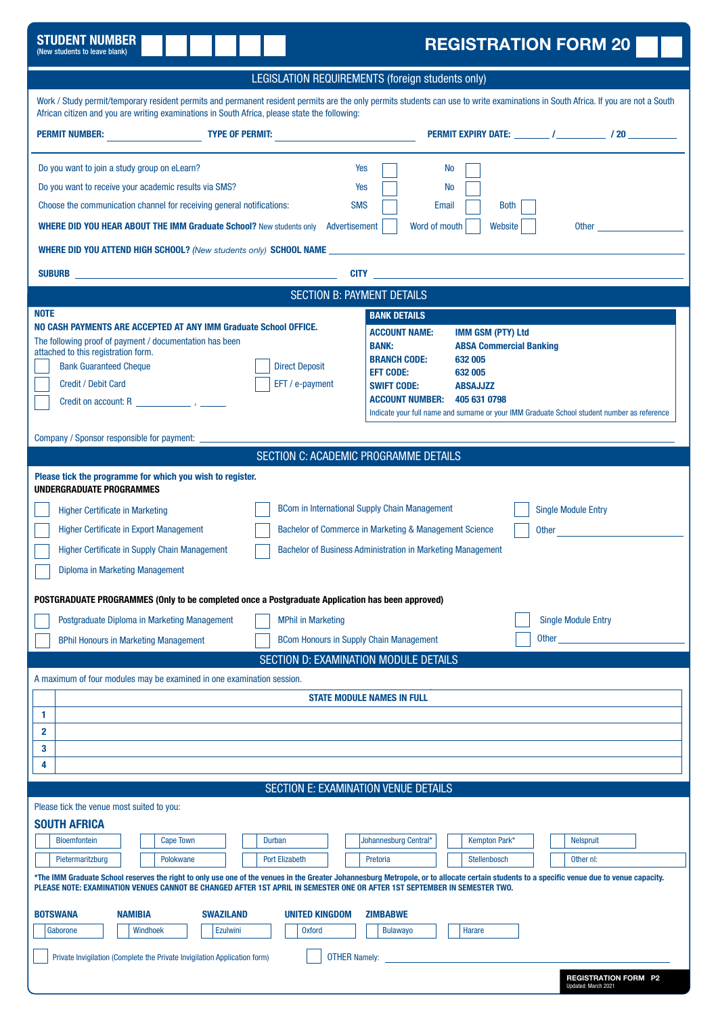| <b>STUDENT NUMBER</b><br><b>REGISTRATION FORM 20</b><br>(New students to leave blank)                                                                                                                                                                                                                                                                                                                                                                                                                                                                                                                                                                                                                                                                                                                                                                                                                          |
|----------------------------------------------------------------------------------------------------------------------------------------------------------------------------------------------------------------------------------------------------------------------------------------------------------------------------------------------------------------------------------------------------------------------------------------------------------------------------------------------------------------------------------------------------------------------------------------------------------------------------------------------------------------------------------------------------------------------------------------------------------------------------------------------------------------------------------------------------------------------------------------------------------------|
| LEGISLATION REQUIREMENTS (foreign students only)                                                                                                                                                                                                                                                                                                                                                                                                                                                                                                                                                                                                                                                                                                                                                                                                                                                               |
| Work / Study permit/temporary resident permits and permanent resident permits are the only permits students can use to write examinations in South Africa. If you are not a South<br>African citizen and you are writing examinations in South Africa, please state the following:                                                                                                                                                                                                                                                                                                                                                                                                                                                                                                                                                                                                                             |
|                                                                                                                                                                                                                                                                                                                                                                                                                                                                                                                                                                                                                                                                                                                                                                                                                                                                                                                |
| Do you want to join a study group on eLearn?<br>Yes<br><b>No</b><br>Do you want to receive your academic results via SMS?<br>Yes<br>No<br>Choose the communication channel for receiving general notifications:<br><b>SMS</b><br>Email<br><b>Both</b><br><b>WHERE DID YOU HEAR ABOUT THE IMM Graduate School?</b> New students only Advertisement<br>Word of mouth<br>Website<br><b>WHERE DID YOU ATTEND HIGH SCHOOL?</b> (New students only) <b>SCHOOL NAME <i>MERE <b>MERGE ARE AND SCHOOL</b></i> MERGET AND THE RESERVE AND THE RESERVE AND THE RESERVE ASSAULT AND THE RESERVE AND THE RESERVE AND THE RESERVE AND THE RE</b>                                                                                                                                                                                                                                                                             |
| <b>CITY CITY CITY</b>                                                                                                                                                                                                                                                                                                                                                                                                                                                                                                                                                                                                                                                                                                                                                                                                                                                                                          |
| <b>SECTION B: PAYMENT DETAILS</b>                                                                                                                                                                                                                                                                                                                                                                                                                                                                                                                                                                                                                                                                                                                                                                                                                                                                              |
| <b>NOTE</b><br><b>BANK DETAILS</b><br>NO CASH PAYMENTS ARE ACCEPTED AT ANY IMM Graduate School OFFICE.<br><b>ACCOUNT NAME:</b><br><b>IMM GSM (PTY) Ltd</b><br>The following proof of payment / documentation has been<br><b>BANK:</b><br><b>ABSA Commercial Banking</b><br>attached to this registration form.<br><b>BRANCH CODE:</b><br>632 005<br><b>Bank Guaranteed Cheque</b><br><b>Direct Deposit</b><br><b>EFT CODE:</b><br>632 005<br><b>Credit / Debit Card</b><br>EFT / e-payment<br><b>SWIFT CODE:</b><br><b>ABSAJJZZ</b><br><b>ACCOUNT NUMBER:</b><br>405 631 0798<br>Credit on account: R Property and Property and Property and Property and Property and Property and Property and Property and Property and Property and Property and Property and Property and Property and Property and Proper<br>Indicate your full name and surname or your IMM Graduate School student number as reference |
| Company / Sponsor responsible for payment: ____________<br>SECTION C: ACADEMIC PROGRAMME DETAILS                                                                                                                                                                                                                                                                                                                                                                                                                                                                                                                                                                                                                                                                                                                                                                                                               |
| Please tick the programme for which you wish to register.<br><b>UNDERGRADUATE PROGRAMMES</b><br><b>BCom in International Supply Chain Management</b><br><b>Single Module Entry</b><br><b>Higher Certificate in Marketing</b><br>Bachelor of Commerce in Marketing & Management Science<br><b>Higher Certificate in Export Management</b><br>Other and the contract of the contract of the contract of the contract of the contract of the contract of the contract of the contract of the contract of the contract of the contract of the contract of the contract of the                                                                                                                                                                                                                                                                                                                                      |
| <b>Higher Certificate in Supply Chain Management</b><br>Bachelor of Business Administration in Marketing Management<br>Diploma in Marketing Management<br>POSTGRADUATE PROGRAMMES (Only to be completed once a Postgraduate Application has been approved)                                                                                                                                                                                                                                                                                                                                                                                                                                                                                                                                                                                                                                                     |
| Postgraduate Diploma in Marketing Management<br><b>MPhil in Marketing</b><br><b>Single Module Entry</b>                                                                                                                                                                                                                                                                                                                                                                                                                                                                                                                                                                                                                                                                                                                                                                                                        |
| Other<br><b>BCom Honours in Supply Chain Management</b><br><b>BPhil Honours in Marketing Management</b>                                                                                                                                                                                                                                                                                                                                                                                                                                                                                                                                                                                                                                                                                                                                                                                                        |
| <b>SECTION D: EXAMINATION MODULE DETAILS</b>                                                                                                                                                                                                                                                                                                                                                                                                                                                                                                                                                                                                                                                                                                                                                                                                                                                                   |
| A maximum of four modules may be examined in one examination session.<br><b>STATE MODULE NAMES IN FULL</b>                                                                                                                                                                                                                                                                                                                                                                                                                                                                                                                                                                                                                                                                                                                                                                                                     |
| 1<br>$\overline{2}$<br>3<br>4                                                                                                                                                                                                                                                                                                                                                                                                                                                                                                                                                                                                                                                                                                                                                                                                                                                                                  |
| SECTION E: EXAMINATION VENUE DETAILS                                                                                                                                                                                                                                                                                                                                                                                                                                                                                                                                                                                                                                                                                                                                                                                                                                                                           |
| Please tick the venue most suited to you:<br><b>SOUTH AFRICA</b><br><b>Bloemfontein</b><br><b>Cape Town</b><br>Durban<br>Johannesburg Central*<br>Kempton Park*<br><b>Nelspruit</b><br>Stellenbosch<br>Pietermaritzburg<br>Polokwane<br><b>Port Elizabeth</b><br>Pretoria<br>Other nl:<br>*The IMM Graduate School reserves the right to only use one of the venues in the Greater Johannesburg Metropole, or to allocate certain students to a specific venue due to venue capacity.<br>PLEASE NOTE: EXAMINATION VENUES CANNOT BE CHANGED AFTER 1ST APRIL IN SEMESTER ONE OR AFTER 1ST SEPTEMBER IN SEMESTER TWO.                                                                                                                                                                                                                                                                                             |
| <b>NAMIBIA</b><br>BOTSWANA<br><b>SWAZILAND</b><br><b>UNITED KINGDOM</b><br><b>ZIMBABWE</b><br>Gaborone<br><b>Windhoek</b><br><b>Ezulwini</b><br><b>Oxford</b><br><b>Bulawayo</b><br>Harare<br><b>OTHER Namely:</b><br>Private Invigilation (Complete the Private Invigilation Application form)<br><b>REGISTRATION FORM P2</b><br>Indated: March 2021                                                                                                                                                                                                                                                                                                                                                                                                                                                                                                                                                          |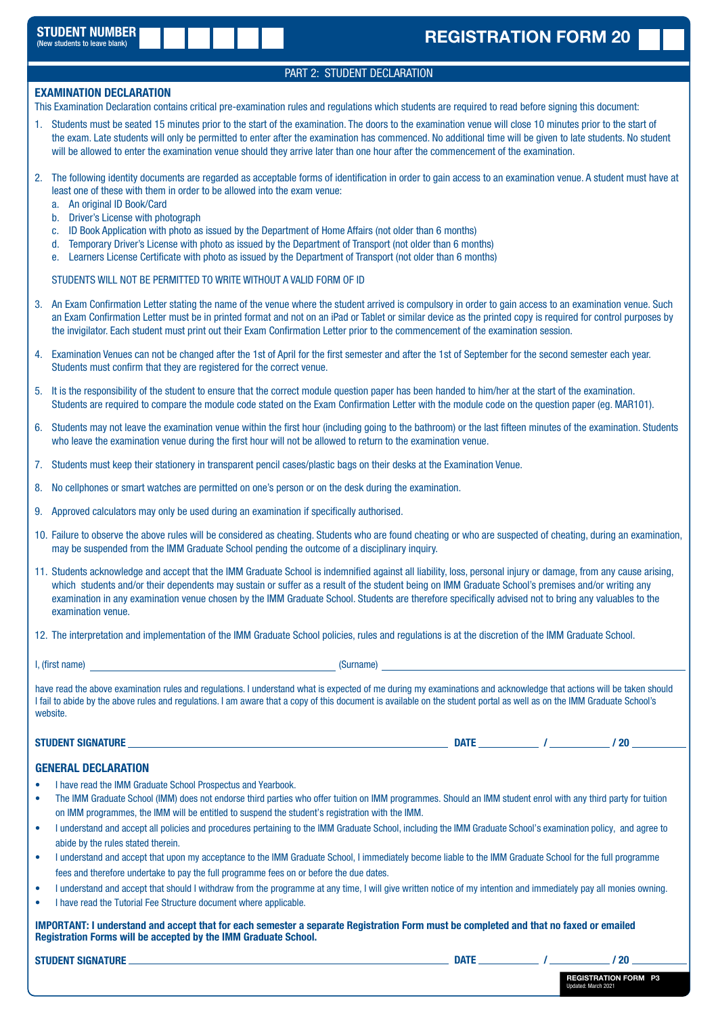### PART 2: STUDENT DECLARATION

#### **EXAMINATION DECLARATION**

This Examination Declaration contains critical pre-examination rules and regulations which students are required to read before signing this document:

- 1. Students must be seated 15 minutes prior to the start of the examination. The doors to the examination venue will close 10 minutes prior to the start of the exam. Late students will only be permitted to enter after the examination has commenced. No additional time will be given to late students. No student will be allowed to enter the examination venue should they arrive later than one hour after the commencement of the examination.
- 2. The following identity documents are regarded as acceptable forms of identification in order to gain access to an examination venue. A student must have at least one of these with them in order to be allowed into the exam venue:
	- a. An original ID Book/Card
	- b. Driver's License with photograph
	- c. ID Book Application with photo as issued by the Department of Home Affairs (not older than 6 months)
	- d. Temporary Driver's License with photo as issued by the Department of Transport (not older than 6 months)
	- e. Learners License Certificate with photo as issued by the Department of Transport (not older than 6 months)

STUDENTS WILL NOT BE PERMITTED TO WRITE WITHOUT A VALID FORM OF ID

- 3. An Exam Confirmation Letter stating the name of the venue where the student arrived is compulsory in order to gain access to an examination venue. Such an Exam Confirmation Letter must be in printed format and not on an iPad or Tablet or similar device as the printed copy is required for control purposes by the invigilator. Each student must print out their Exam Confirmation Letter prior to the commencement of the examination session.
- 4. Examination Venues can not be changed after the 1st of April for the first semester and after the 1st of September for the second semester each year. Students must confirm that they are registered for the correct venue.
- 5. It is the responsibility of the student to ensure that the correct module question paper has been handed to him/her at the start of the examination. Students are required to compare the module code stated on the Exam Confirmation Letter with the module code on the question paper (eg. MAR101).
- 6. Students may not leave the examination venue within the first hour (including going to the bathroom) or the last fifteen minutes of the examination. Students who leave the examination venue during the first hour will not be allowed to return to the examination venue.
- 7. Students must keep their stationery in transparent pencil cases/plastic bags on their desks at the Examination Venue.
- 8. No cellphones or smart watches are permitted on one's person or on the desk during the examination.
- 9. Approved calculators may only be used during an examination if specifically authorised.
- 10. Failure to observe the above rules will be considered as cheating. Students who are found cheating or who are suspected of cheating, during an examination, may be suspended from the IMM Graduate School pending the outcome of a disciplinary inquiry.
- 11. Students acknowledge and accept that the IMM Graduate School is indemnified against all liability, loss, personal injury or damage, from any cause arising, which students and/or their dependents may sustain or suffer as a result of the student being on IMM Graduate School's premises and/or writing any examination in any examination venue chosen by the IMM Graduate School. Students are therefore specifically advised not to bring any valuables to the examination venue.
- 12. The interpretation and implementation of the IMM Graduate School policies, rules and regulations is at the discretion of the IMM Graduate School.
- I, (first name) (Surname)

have read the above examination rules and regulations. I understand what is expected of me during my examinations and acknowledge that actions will be taken should I fail to abide by the above rules and regulations. I am aware that a copy of this document is available on the student portal as well as on the IMM Graduate School's website.

#### STUDENT SIGNATURE *(20)* and the studies of the studies of the studies of the studies of the studies of the studies of the studies of the studies of the studies of the studies of the studies of the studies of the studies o

#### GENERAL DECLARATION

- I have read the IMM Graduate School Prospectus and Yearbook.
- The IMM Graduate School (IMM) does not endorse third parties who offer tuition on IMM programmes. Should an IMM student enrol with any third party for tuition on IMM programmes, the IMM will be entitled to suspend the student's registration with the IMM.
- I understand and accept all policies and procedures pertaining to the IMM Graduate School, including the IMM Graduate School's examination policy, and agree to abide by the rules stated therein.
- I understand and accept that upon my acceptance to the IMM Graduate School, I immediately become liable to the IMM Graduate School for the full programme fees and therefore undertake to pay the full programme fees on or before the due dates.
- I understand and accept that should I withdraw from the programme at any time, I will give written notice of my intention and immediately pay all monies owning.
- I have read the Tutorial Fee Structure document where applicable.

IMPORTANT: I understand and accept that for each semester a separate Registration Form must be completed and that no faxed or emailed Registration Forms will be accepted by the IMM Graduate School.

STUDENT SIGNATURE DATE / / 20